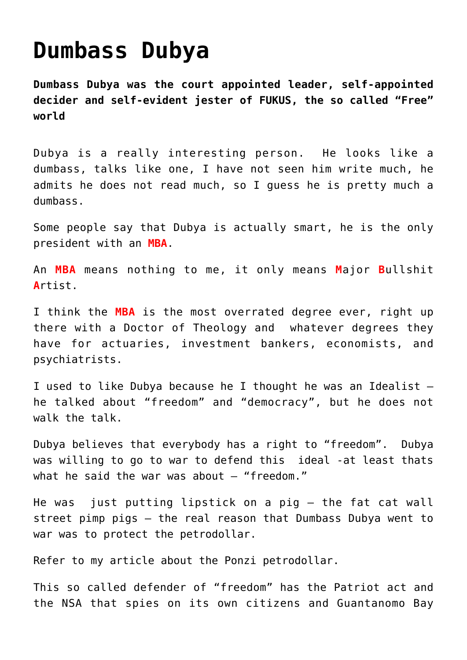## **[Dumbass Dubya](https://aryadharma.world/fukus/dubya/)**

**[Dumbass Dubya](http://en.wikipedia.org/wiki/George_W._Bush) was the court appointed leader, self-appointed [decider](http://www.youtube.com/watch?v=irMeHmlxE9s) and self-evident [jester](https://en.wikipedia.org/wiki/Jester) of [FUKUS,](http://aryadharma.world/fukus/) the so called "Free" world**

[Dubya](http://en.wikipedia.org/wiki/George_W._Bush) is a really interesting person. He looks like a dumbass, talks like one, I have not seen him write much, he admits he does not read much, so I guess he is pretty much a dumbass.

Some people say that Dubya is actually smart, he is the only president with an **MBA**.

An **MBA** means nothing to me, it only means **M**ajor **B**ullshit **A**rtist.

I think the **MBA** is the most overrated degree ever, right up there with a Doctor of Theology and whatever degrees they have for actuaries, investment bankers, economists, and psychiatrists.

I used to like Dubya because he I thought he was an Idealist – he talked about "freedom" and "democracy", but he does not walk the talk.

Dubya believes that everybody has a right to "freedom". Dubya was willing to go to war to defend this ideal -at least thats what he said the war was about  $-$  "freedom."

He was just putting lipstick on a pig – the [fat cat wall](http://aryadharma.world/wallstreetpimps/) [street pimp pigs](http://aryadharma.world/wallstreetpimps/) – the real reason that Dumbass Dubya went to war was to protect the petrodollar.

[Refer to my article about the Ponzi petrodollar.](http://aryadharma.world/ponzipetrodollar/)

This so called defender of "freedom" has the [Patriot act a](http://en.wikipedia.org/wiki/Patriot_act)nd the [NSA](http://en.wikipedia.org/wiki/Nsa) that [spies on its own citizens](https://en.wikipedia.org/wiki/National_Security_Agency#Scope_of_surveillance) and [Guantanomo Bay](http://en.wikipedia.org/wiki/Guantanamo_Bay_detainment_camp)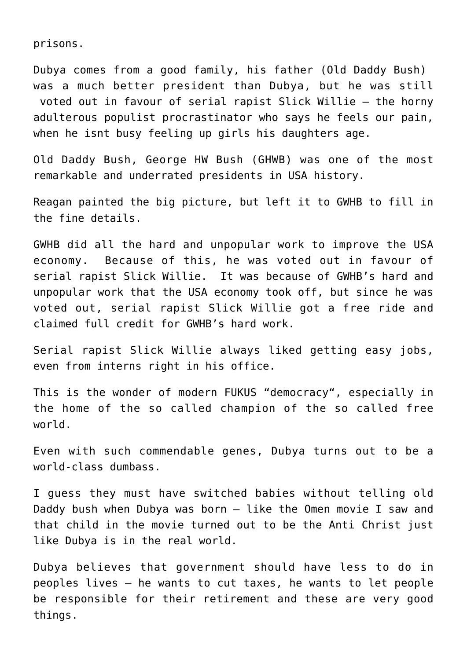prisons.

Dubya comes from a [good family,](http://en.wikipedia.org/wiki/Bush_family) his [father \(Old Daddy Bush\)](http://en.wikipedia.org/wiki/George_H.W._Bush) was a much better president than Dubya, but he was still voted out in favour of serial rapist [Slick Willie](http://en.wikipedia.org/wiki/Bill_clinton) – the horny adulterous populist procrastinator who says he feels our pain, when he isnt busy [feeling up girls](http://en.wikipedia.org/wiki/Monica_Lewinsky) his daughters age.

Old Daddy Bush, [George HW Bush \(GHWB\)](https://en.wikipedia.org/wiki/George_H._W._Bush) was one of the most remarkable and underrated presidents in USA history.

[Reagan](https://en.wikipedia.org/wiki/Ronald_Reagan) painted the big picture, but left it to GWHB to fill in the fine details.

[GWHB](https://en.wikipedia.org/wiki/George_H._W._Bush) did all the hard and unpopular work to improve the USA economy. Because of this, he was voted out in favour of serial rapist [Slick Willie](https://en.wikipedia.org/wiki/Bill_Clinton). It was because of GWHB's hard and unpopular work that the USA economy took off, but since he was voted out, serial rapist [Slick Willie](https://en.wikipedia.org/wiki/Bill_Clinton) got a free ride and claimed full credit for GWHB's hard work.

Serial rapist [Slick Willie a](https://en.wikipedia.org/wiki/Bill_Clinton)lways liked getting easy jobs, even from [interns](https://en.wikipedia.org/wiki/Monica_Lewinsky) right in his office.

This is the wonder of modern [FUKUS](http://aryadharma.world/fukus/) "[democracy](http://aryadharma.world/repsofpeople/)", especially in the home of the so called champion of the so called free world.

Even with such commendable genes, Dubya turns out to be a world-class dumbass.

I guess they must have switched babies without telling [old](http://en.wikipedia.org/wiki/George_H._W._Bush) [Daddy bush](http://en.wikipedia.org/wiki/George_H._W._Bush) when Dubya was born – like the [Omen](http://en.wikipedia.org/wiki/The_Omen) movie I saw and that child in the movie turned out to be the [Anti Christ](http://en.wikipedia.org/wiki/Antichrist) just like Dubya is in the real world.

Dubya believes that government should have less to do in peoples lives – he wants to cut taxes, he wants to let people be responsible for their retirement and these are very good things.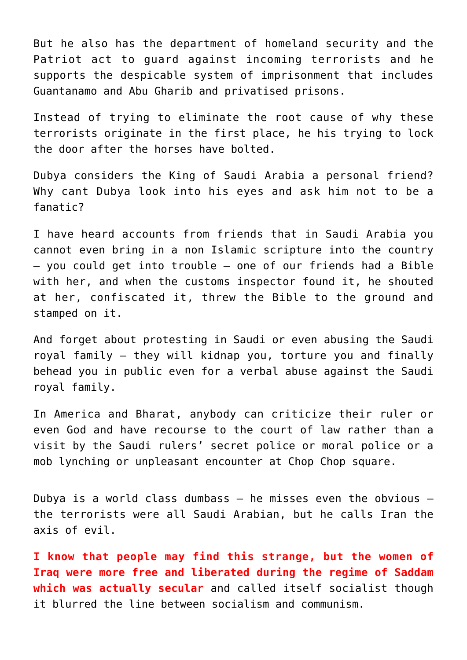But he also has the department of homeland security and the [Patriot act](http://en.wikipedia.org/wiki/Patriot_act) to guard against incoming terrorists and he supports the despicable system of imprisonment that includes [Guantanamo](http://en.wikipedia.org/wiki/Guantanamo_Bay_detainment_camp) and [Abu Gharib](http://en.wikipedia.org/wiki/Abu_Ghraib_torture_and_prisoner_abuse) and privatised prisons.

Instead of trying to eliminate the root cause of why these terrorists originate in the first place, he his trying to lock the door after the horses have bolted.

Dubya considers the [King of Saudi Arabia](https://en.wikipedia.org/wiki/Abdullah_of_Saudi_Arabia) a personal friend? Why cant Dubya look into his eyes and ask him not to be a fanatic?

I have heard accounts from friends that in Saudi Arabia you cannot even bring in a non Islamic scripture into the country – you could get into trouble – one of our friends had a Bible with her, and when the customs inspector found it, he shouted at her, confiscated it, threw the Bible to the ground and stamped on it.

And forget about protesting in Saudi or even abusing the Saudi royal family – they will kidnap you, torture you and finally behead you in public even for a verbal abuse against the Saudi royal family.

In America and [Bharat](http://aryadharma.world/bharat/), anybody can criticize their ruler or even [God](http://aryadharma.world/brahman/) and have recourse to the court of law rather than a visit by the Saudi rulers' secret police or moral police or a mob lynching or unpleasant encounter at [Chop Chop square.](http://en.wikipedia.org/wiki/Chop_Chop_Square)

Dubya is a world class dumbass  $-$  he misses even the obvious  $$ the terrorists were all Saudi Arabian, but he calls Iran the axis of evil.

**I know that people may find this strange, but the women of Iraq were more free and liberated during the regime of Saddam which was actually secular** and called itself [socialist](http://en.wikipedia.org/wiki/Baathist) though it blurred the line between socialism and communism.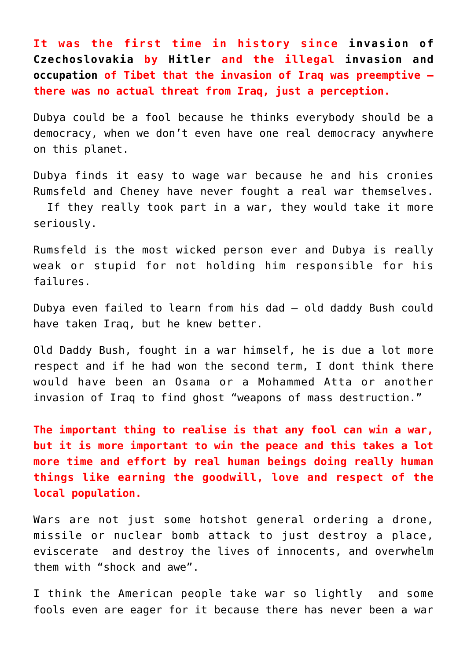**It was the first time in history since [invasion of](https://en.wikipedia.org/wiki/German_occupation_of_Czechoslovakia) [Czechoslovakia](https://en.wikipedia.org/wiki/German_occupation_of_Czechoslovakia) by [Hitler a](https://en.wikipedia.org/wiki/Adolf_Hitler)nd the illegal [invasion and](https://en.wikipedia.org/wiki/Incorporation_of_Tibet_into_the_People%27s_Republic_of_China) [occupation](https://en.wikipedia.org/wiki/Incorporation_of_Tibet_into_the_People%27s_Republic_of_China) of [Tibet](http://en.wikipedia.org/wiki/Tibet) that the invasion of Iraq was preemptive – there was no actual threat from Iraq, just a perception.**

Dubya could be a [fool](http://aryadharma.world/whoisafool/) because he thinks everybody should be a [democracy](http://aryadharma.world/democracy/), when we don't even have one [real democracy](http://aryadharma.world/democracy/) anywhere on this planet.

Dubya finds it easy to wage war because he and his cronies [Rumsfeld](http://en.wikipedia.org/wiki/Donald_Rumsfeld) and [Cheney](http://en.wikipedia.org/wiki/Dick_Cheney) have never fought a real war themselves.

 If they really took part in a war, they would take it more seriously.

Rumsfeld is the most wicked person ever and Dubya is really weak or stupid for not holding him responsible for his failures.

Dubya even failed to learn from his dad – old daddy Bush could have taken Iraq, but he knew better.

[Old Daddy Bush](http://en.wikipedia.org/wiki/George_W._Bush), fought in a war himself, he is due a lot more respect and if he had won the second term, I dont think there would have been an [Osama](http://en.wikipedia.org/wiki/Osama_bin_Laden) or a [Mohammed Atta](http://en.wikipedia.org/wiki/Mohamed_Atta) or another invasion of Iraq to find ghost "weapons of mass destruction."

**The important thing to realise is that any [fool c](http://aryadharma.world/whoisafool/)an win a war, but it is more important to win the peace and this takes a lot more time and effort by real human beings doing really human things like earning the goodwill, love and respect of the local population.**

Wars are not just some hotshot general ordering a drone, missile or nuclear bomb attack to just destroy a place, [eviscerate](https://en.wikipedia.org/wiki/Disembowelment#Disembowelment_as_torture) and destroy the lives of innocents, and overwhelm them with "shock and awe".

I think the American people take war so lightly and some fools even are eager for it because there has never been a war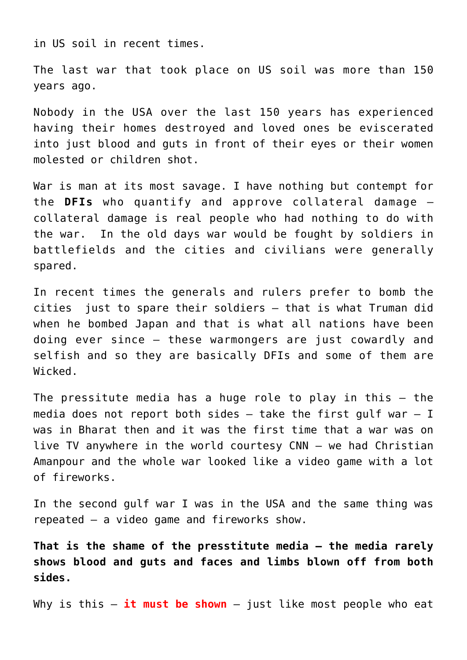in US soil in recent times.

The last war that took place on US soil was more than [150](http://en.wikipedia.org/wiki/American_Civil_War) [years ago.](http://en.wikipedia.org/wiki/American_Civil_War)

Nobody in the USA over the last 150 years has experienced having their homes destroyed and loved ones be eviscerated into just blood and guts in front of their eyes or their women molested or children shot.

War is man at its most savage. I have nothing but contempt for the **DFIs** who quantify and approve [collateral damage](http://en.wikipedia.org/wiki/Collateral_damage) – collateral damage is real people who had nothing to do with the war. In the old days war would be fought by soldiers in battlefields and the cities and civilians were generally spared.

In recent times the generals and rulers prefer to bomb the cities just to spare their soldiers – that is what Truman did when he [bombed Japan](http://en.wikipedia.org/wiki/Atomic_bombings_of_Hiroshima_and_Nagasaki) and that is what all nations have been doing ever since – these warmongers are just cowardly and selfish and so they are basically [DFIs](http://aryadharma.world/whoisafool/) and some of them are [Wicked](http://aryadharma.world/wicked/).

The pressitute media has a huge role to play in this – the media does not report both sides  $-$  take the [first gulf war](http://en.wikipedia.org/wiki/Gulf_War)  $-$  I was in Bharat then and it was the first time that a war was on live TV anywhere in the world courtesy CNN – we had [Christian](http://en.wikipedia.org/wiki/Amanpour) [Amanpour](http://en.wikipedia.org/wiki/Amanpour) and the whole war looked like a video game with a lot of fireworks.

In the [second gulf war](http://en.wikipedia.org/wiki/Iraqi_Freedom) I was in the USA and the same thing was repeated – a video game and fireworks show.

**That is the shame of the presstitute media – the media rarely shows blood and guts and faces and limbs blown off from both sides.**

Why is this – **it must be shown** – just like most people who eat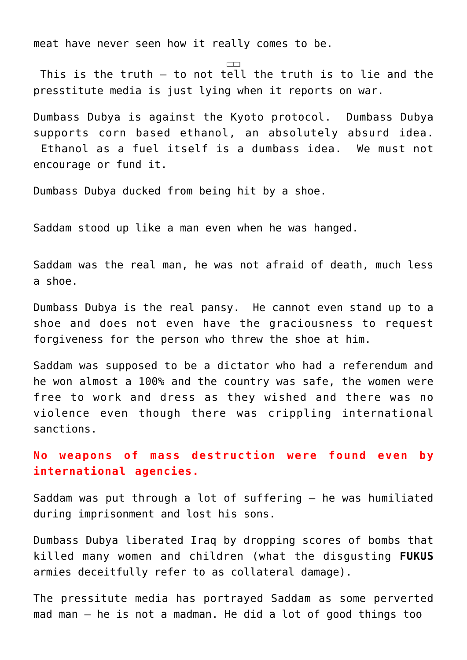meat have never seen how [it really comes to be.](http://www.peta.org/videos/)

 This is the truth – to not tell the truth is to lie and the presstitute media is just lying when it reports on war.

Dumbass Dubya is against the [Kyoto protocol.](http://en.wikipedia.org/wiki/Kyoto_protocol#United_States) Dumbass Dubya supports corn based ethanol, an absolutely absurd idea. [Ethanol as a fuel itself](http://en.wikipedia.org/wiki/Ethanol_fuel) is a dumbass idea. We must not encourage or fund it.

Dumbass Dubya ducked from being hit by a shoe.

Saddam stood up like a man even when he was hanged.

Saddam was the real man, he was not afraid of death, much less a shoe.

Dumbass Dubya is the real [pansy.](http://www.urbandictionary.com/define.php?term=pansy) He cannot even stand up to a shoe and does not even have the graciousness to request forgiveness for the person who threw the shoe at him.

Saddam was supposed to be a dictator who had a referendum and he won almost a 100% and the country was safe, the women were free to work and dress as they wished and there was no violence even though there was crippling international sanctions.

**No weapons of mass destruction were found even by international agencies.**

[Saddam](http://en.wikipedia.org/wiki/Saddam_Hussein) was put through a lot of suffering – he was humiliated during imprisonment and lost his sons.

Dumbass Dubya liberated Iraq by dropping scores of bombs that killed many women and children (what the disgusting **[FUKUS](http://aryadharma.world/fukus/)** armies deceitfully refer to as [collateral damage\)](https://en.wikipedia.org/wiki/Collateral_damage).

The pressitute media has portrayed [Saddam](http://en.wikipedia.org/wiki/Saddam) as some perverted mad man – he is not a madman. He did a lot of good things too